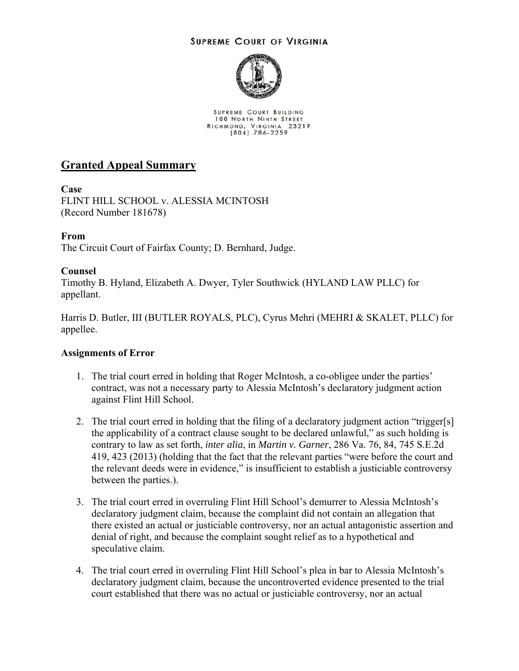### **SUPREME COURT OF VIRGINIA**



SUPREME COURT BUILDING 100 NORTH NINTH STREET RICHMOND, VIRGINIA 23219

# **Granted Appeal Summary**

## **Case**

FLINT HILL SCHOOL v. ALESSIA MCINTOSH (Record Number 181678)

## **From**

The Circuit Court of Fairfax County; D. Bernhard, Judge.

## **Counsel**

Timothy B. Hyland, Elizabeth A. Dwyer, Tyler Southwick (HYLAND LAW PLLC) for appellant.

Harris D. Butler, III (BUTLER ROYALS, PLC), Cyrus Mehri (MEHRI & SKALET, PLLC) for appellee.

## **Assignments of Error**

- 1. The trial court erred in holding that Roger McIntosh, a co-obligee under the parties' contract, was not a necessary party to Alessia McIntosh's declaratory judgment action against Flint Hill School.
- 2. The trial court erred in holding that the filing of a declaratory judgment action "trigger[s] the applicability of a contract clause sought to be declared unlawful," as such holding is contrary to law as set forth, *inter alia*, in *Martin v. Garner*, 286 Va. 76, 84, 745 S.E.2d 419, 423 (2013) (holding that the fact that the relevant parties "were before the court and the relevant deeds were in evidence," is insufficient to establish a justiciable controversy between the parties.).
- 3. The trial court erred in overruling Flint Hill School's demurrer to Alessia McIntosh's declaratory judgment claim, because the complaint did not contain an allegation that there existed an actual or justiciable controversy, nor an actual antagonistic assertion and denial of right, and because the complaint sought relief as to a hypothetical and speculative claim.
- 4. The trial court erred in overruling Flint Hill School's plea in bar to Alessia McIntosh's declaratory judgment claim, because the uncontroverted evidence presented to the trial court established that there was no actual or justiciable controversy, nor an actual